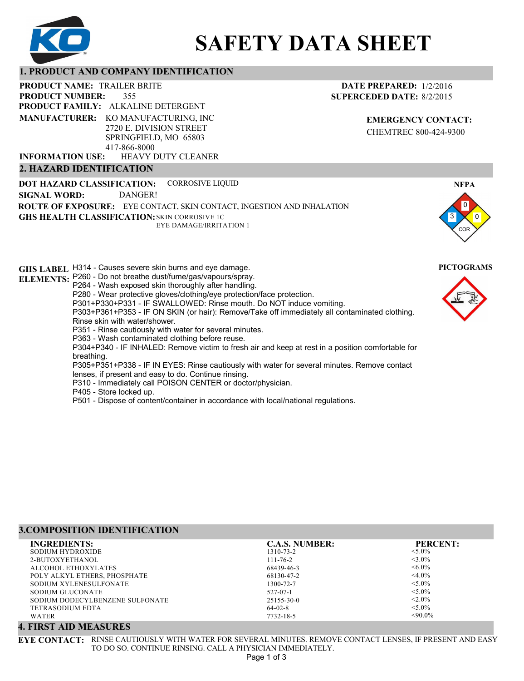

# **SAFETY DATA SHEET**

# **1. PRODUCT AND COMPANY IDENTIFICATION**

355 PRODUCT NAME: TRAILER BRITE **PRODUCT FAMILY: ALKALINE DETERGENT** HEAVY DUTY CLEANER **PRODUCT NUMBER: MANUFACTURER:** KO MANUFACTURING, INC 2720 E. DIVISION STREET SPRINGFIELD, MO 65803 417-866-8000 **INFORMATION USE:**

# **2. HAZARD IDENTIFICATION**

**DOT HAZARD CLASSIFICATION: GHS HEALTH CLASSIFICATION:** SKIN CORROSIVE 1C **ROUTE OF EXPOSURE:** EYE CONTACT, SKIN CONTACT, INGESTION AND INHALATION CORROSIVE LIQUID EYE DAMAGE/IRRITATION 1 **SIGNAL WORD:** DANGER!

**GHS LABEL**  H314 - Causes severe skin burns and eye damage. **PICTOGRAMS ELEMENTS:** P260 - Do not breathe dust/fume/gas/vapours/spray. P264 - Wash exposed skin thoroughly after handling. P280 - Wear protective gloves/clothing/eye protection/face protection. P301+P330+P331 - IF SWALLOWED: Rinse mouth. Do NOT induce vomiting. P303+P361+P353 - IF ON SKIN (or hair): Remove/Take off immediately all contaminated clothing. Rinse skin with water/shower. P351 - Rinse cautiously with water for several minutes. P363 - Wash contaminated clothing before reuse. P304+P340 - IF INHALED: Remove victim to fresh air and keep at rest in a position comfortable for breathing. P305+P351+P338 - IF IN EYES: Rinse cautiously with water for several minutes. Remove contact lenses, if present and easy to do. Continue rinsing. P310 - Immediately call POISON CENTER or doctor/physician. P405 - Store locked up. P501 - Dispose of content/container in accordance with local/national regulations.

| 3.COMPOSITION IDENTIFICATION    |                       |                 |  |
|---------------------------------|-----------------------|-----------------|--|
| <b>INGREDIENTS:</b>             | <b>C.A.S. NUMBER:</b> | <b>PERCENT:</b> |  |
| SODIUM HYDROXIDE                | 1310-73-2             | $< 5.0\%$       |  |
| 2-BUTOXYETHANOL                 | $111 - 76 - 2$        | $<$ 3.0%        |  |
| ALCOHOL ETHOXYLATES             | 68439-46-3            | $<6.0\%$        |  |
| POLY ALKYL ETHERS, PHOSPHATE    | 68130-47-2            | $<$ 4.0%        |  |
| SODIUM XYLENESULFONATE          | 1300-72-7             | $< 5.0\%$       |  |
| SODIUM GLUCONATE                | $527 - 07 - 1$        | $< 5.0\%$       |  |
| SODIUM DODECYLBENZENE SULFONATE | 25155-30-0            | $< 2.0\%$       |  |
| TETRASODIUM EDTA                | $64-02-8$             | $< 5.0\%$       |  |
| WATER                           | 7732-18-5             | $< 90.0\%$      |  |

# **4. FIRST AID MEASURES**

**EYE CONTACT:** RINSE CAUTIOUSLY WITH WATER FOR SEVERAL MINUTES. REMOVE CONTACT LENSES, IF PRESENT AND EASY TO DO SO. CONTINUE RINSING. CALL A PHYSICIAN IMMEDIATELY.

**EMERGENCY CONTACT:** CHEMTREC 800-424-9300





COR

0

3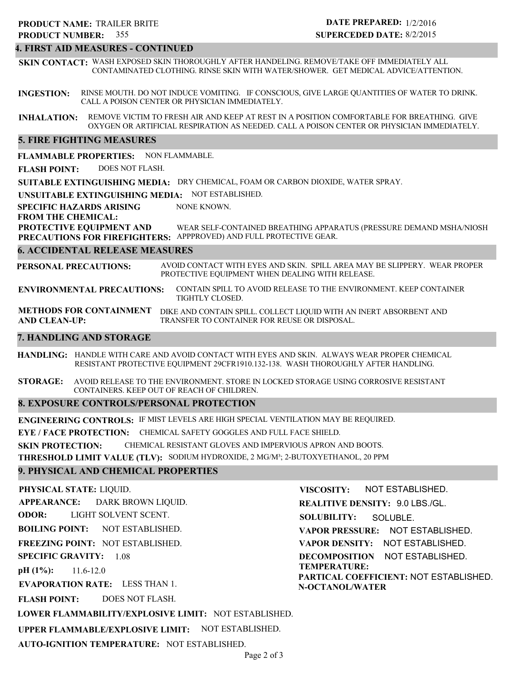# **4. FIRST AID MEASURES - CONTINUED**

**SKIN CONTACT:** WASH EXPOSED SKIN THOROUGHLY AFTER HANDELING. REMOVE/TAKE OFF IMMEDIATELY ALL CONTAMINATED CLOTHING. RINSE SKIN WITH WATER/SHOWER. GET MEDICAL ADVICE/ATTENTION.

**INGESTION:** RINSE MOUTH. DO NOT INDUCE VOMITING. IF CONSCIOUS, GIVE LARGE QUANTITIES OF WATER TO DRINK. CALL A POISON CENTER OR PHYSICIAN IMMEDIATELY.

**INHALATION:** REMOVE VICTIM TO FRESH AIR AND KEEP AT REST IN A POSITION COMFORTABLE FOR BREATHING. GIVE OXYGEN OR ARTIFICIAL RESPIRATION AS NEEDED. CALL A POISON CENTER OR PHYSICIAN IMMEDIATELY.

# **5. FIRE FIGHTING MEASURES**

**FLAMMABLE PROPERTIES:** NON FLAMMABLE.

**FLASH POINT:** DOES NOT FLASH.

**SUITABLE EXTINGUISHING MEDIA:** DRY CHEMICAL, FOAM OR CARBON DIOXIDE, WATER SPRAY.

**UNSUITABLE EXTINGUISHING MEDIA:** NOT ESTABLISHED.

**SPECIFIC HAZARDS ARISING** NONE KNOWN.

**FROM THE CHEMICAL:**

**PROTECTIVE EQUIPMENT AND PRECAUTIONS FOR FIREFIGHTERS:** APPPROVED) AND FULL PROTECTIVE GEAR. WEAR SELF-CONTAINED BREATHING APPARATUS (PRESSURE DEMAND MSHA/NIOSH

## **6. ACCIDENTAL RELEASE MEASURES**

**PERSONAL PRECAUTIONS:** AVOID CONTACT WITH EYES AND SKIN. SPILL AREA MAY BE SLIPPERY. WEAR PROPER PROTECTIVE EQUIPMENT WHEN DEALING WITH RELEASE.

**ENVIRONMENTAL PRECAUTIONS:** CONTAIN SPILL TO AVOID RELEASE TO THE ENVIRONMENT. KEEP CONTAINER TIGHTLY CLOSED.

**METHODS FOR CONTAINMENT** DIKE AND CONTAIN SPILL. COLLECT LIQUID WITH AN INERT ABSORBENT AND **AND CLEAN-UP:** TRANSFER TO CONTAINER FOR REUSE OR DISPOSAL.

# **7. HANDLING AND STORAGE**

**HANDLING:** HANDLE WITH CARE AND AVOID CONTACT WITH EYES AND SKIN. ALWAYS WEAR PROPER CHEMICAL RESISTANT PROTECTIVE EQUIPMENT 29CFR1910.132-138. WASH THOROUGHLY AFTER HANDLING.

**STORAGE:** AVOID RELEASE TO THE ENVIRONMENT. STORE IN LOCKED STORAGE USING CORROSIVE RESISTANT CONTAINERS. KEEP OUT OF REACH OF CHILDREN.

# **8. EXPOSURE CONTROLS/PERSONAL PROTECTION**

**ENGINEERING CONTROLS:** IF MIST LEVELS ARE HIGH SPECIAL VENTILATION MAY BE REQUIRED.

**EYE / FACE PROTECTION:** CHEMICAL SAFETY GOGGLES AND FULL FACE SHIELD.

**SKIN PROTECTION:** CHEMICAL RESISTANT GLOVES AND IMPERVIOUS APRON AND BOOTS.

**THRESHOLD LIMIT VALUE (TLV):** SODIUM HYDROXIDE, 2 MG/M³; 2-BUTOXYETHANOL, 20 PPM

# **9. PHYSICAL AND CHEMICAL PROPERTIES**

**PHYSICAL STATE:** LIQUID.

**APPEARANCE: ODOR: BOILING POINT: FREEZING POINT:** NOT ESTABLISHED. **SPECIFIC GRAVITY:** 1.08 **pH (1%):** NOT ESTABLISHED. 11.6-12.0 DARK BROWN LIQUID. LIGHT SOLVENT SCENT.

**EVAPORATION RATE:** LESS THAN 1.

**FLASH POINT:** DOES NOT FLASH.

**LOWER FLAMMABILITY/EXPLOSIVE LIMIT:** NOT ESTABLISHED.

**UPPER FLAMMABLE/EXPLOSIVE LIMIT:** NOT ESTABLISHED.

**AUTO-IGNITION TEMPERATURE:** NOT ESTABLISHED.

**VISCOSITY:**

**REALITIVE DENSITY:** 9.0 LBS./GL. **SOLUBILITY: VAPOR PRESSURE:** NOT ESTABLISHED. **VAPOR DENSITY:** NOT ESTABLISHED. **DECOMPOSITION** NOT ESTABLISHED. **TEMPERATURE: PARTICAL COEFFICIENT:** NOT ESTABLISHED. **N-OCTANOL/WATER** SOLUBLE.

NOT ESTABLISHED.